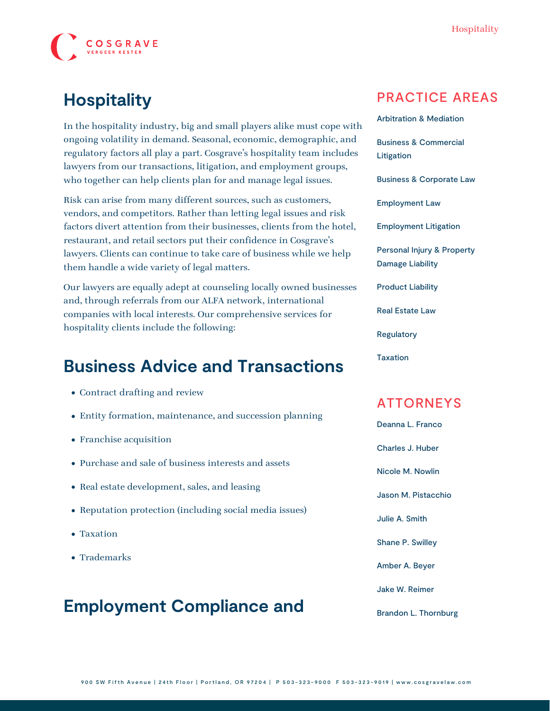

# **Hospitality**

In the hospitality industry, big and small players alike must cope with ongoing volatility in demand. Seasonal, economic, demographic, and regulatory factors all play a part. Cosgrave's hospitality team includes lawyers from our transactions, litigation, and employment groups, who together can help clients plan for and manage legal issues.

Risk can arise from many different sources, such as customers, vendors, and competitors. Rather than letting legal issues and risk factors divert attention from their businesses, clients from the hotel, restaurant, and retail sectors put their confidence in Cosgrave's lawyers. Clients can continue to take care of business while we help them handle a wide variety of legal matters.

Our lawyers are equally adept at counseling locally owned businesses and, through referrals from our ALFA network, international companies with local interests. Our comprehensive services for hospitality clients include the following:

## **Business Advice and Transactions**

- Contract drafting and review
- Entity formation, maintenance, and succession planning
- Franchise acquisition
- Purchase and sale of business interests and assets
- Real estate development, sales, and leasing
- Reputation protection (including social media issues)
- Taxation
- Trademarks

### **Employment Compliance and**

#### PRACTICE AREAS

[Arbitration & Mediation](https://www.cosgravelaw.com/arbitration-mediation/) [Business & Commercial](https://www.cosgravelaw.com/business-commercial-litigation/) [Litigation](https://www.cosgravelaw.com/business-commercial-litigation/) [Business & Corporate Law](https://www.cosgravelaw.com/business-representation-transactions/) [Employment Law](https://www.cosgravelaw.com/employee-relations-hr-advice-counsel/) [Employment Litigation](https://www.cosgravelaw.com/employment-litigation/) [Personal Injury & Property](https://www.cosgravelaw.com/personal-injury-property-damage-liability/) [Damage Liability](https://www.cosgravelaw.com/personal-injury-property-damage-liability/) [Product Liability](https://www.cosgravelaw.com/product-liability-attorneys/) [Real Estate Law](https://www.cosgravelaw.com/real-estate-law/)

[Regulatory](https://www.cosgravelaw.com/regulatory/)

[Taxation](https://www.cosgravelaw.com/taxation/)

#### ATTORNEYS

[Deanna L. Franco](https://www.cosgravelaw.com/deanna-l-franco-trust-estate-planning/)

[Charles J. Huber](https://www.cosgravelaw.com/charles-huber-business-representation-transactions/)

[Nicole M. Nowlin](https://www.cosgravelaw.com/nicole-nowlin/)

[Jason M. Pistacchio](https://www.cosgravelaw.com/jason-pistacchio-construction-lien-attorney/)

[Julie A. Smith](https://www.cosgravelaw.com/julie-smith-appellate-litigation-services/)

[Shane P. Swilley](https://www.cosgravelaw.com/shane-swilley-employment-law/)

[Amber A. Beyer](https://www.cosgravelaw.com/amber-a-beyer-business-litigation-attorney/)

[Jake W. Reimer](https://www.cosgravelaw.com/jake-w-reimer/)

[Brandon L. Thornburg](https://www.cosgravelaw.com/brandon-thornburg-transportation-litigation/)